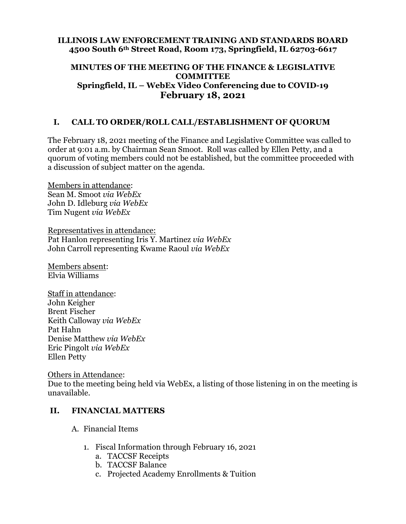#### **ILLINOIS LAW ENFORCEMENT TRAINING AND STANDARDS BOARD 4500 South 6th Street Road, Room 173, Springfield, IL 62703-6617**

#### **MINUTES OF THE MEETING OF THE FINANCE & LEGISLATIVE COMMITTEE Springfield, IL – WebEx Video Conferencing due to COVID-19 February 18, 2021**

### **I. CALL TO ORDER/ROLL CALL/ESTABLISHMENT OF QUORUM**

The February 18, 2021 meeting of the Finance and Legislative Committee was called to order at 9:01 a.m. by Chairman Sean Smoot. Roll was called by Ellen Petty, and a quorum of voting members could not be established, but the committee proceeded with a discussion of subject matter on the agenda.

Members in attendance: Sean M. Smoot *via WebEx* John D. Idleburg *via WebEx* Tim Nugent *via WebEx*

Representatives in attendance: Pat Hanlon representing Iris Y. Martinez *via WebEx* John Carroll representing Kwame Raoul *via WebEx*

Members absent: Elvia Williams

Staff in attendance: John Keigher Brent Fischer Keith Calloway *via WebEx* Pat Hahn Denise Matthew *via WebEx* Eric Pingolt *via WebEx* Ellen Petty

Others in Attendance:

Due to the meeting being held via WebEx, a listing of those listening in on the meeting is unavailable.

### **II. FINANCIAL MATTERS**

A. Financial Items

- 1. Fiscal Information through February 16, 2021
	- a. TACCSF Receipts
	- b. TACCSF Balance
	- c. Projected Academy Enrollments & Tuition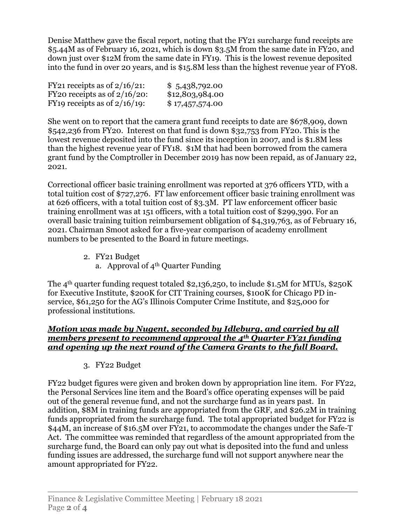Denise Matthew gave the fiscal report, noting that the FY21 surcharge fund receipts are \$5.44M as of February 16, 2021, which is down \$3.5M from the same date in FY20, and down just over \$12M from the same date in FY19. This is the lowest revenue deposited into the fund in over 20 years, and is \$15.8M less than the highest revenue year of FY08.

| FY21 receipts as of $2/16/21$ :             | \$5,438,792.00  |
|---------------------------------------------|-----------------|
| FY20 receipts as of $2/16/20$ :             | \$12,803,984.00 |
| FY <sub>19</sub> receipts as of $2/16/19$ : | \$17,457,574.00 |

She went on to report that the camera grant fund receipts to date are \$678,909, down \$542,236 from FY20. Interest on that fund is down \$32,753 from FY20. This is the lowest revenue deposited into the fund since its inception in 2007, and is \$1.8M less than the highest revenue year of FY18. \$1M that had been borrowed from the camera grant fund by the Comptroller in December 2019 has now been repaid, as of January 22, 2021.

Correctional officer basic training enrollment was reported at 376 officers YTD, with a total tuition cost of \$727,276. FT law enforcement officer basic training enrollment was at 626 officers, with a total tuition cost of \$3.3M. PT law enforcement officer basic training enrollment was at 151 officers, with a total tuition cost of \$299,390. For an overall basic training tuition reimbursement obligation of \$4,319,763, as of February 16, 2021. Chairman Smoot asked for a five-year comparison of academy enrollment numbers to be presented to the Board in future meetings.

- 2. FY21 Budget
	- a. Approval of  $4<sup>th</sup>$  Quarter Funding

The 4<sup>th</sup> quarter funding request totaled \$2,136,250, to include \$1.5M for MTUs, \$250K for Executive Institute, \$200K for CIT Training courses, \$100K for Chicago PD inservice, \$61,250 for the AG's Illinois Computer Crime Institute, and \$25,000 for professional institutions.

### *Motion was made by Nugent, seconded by Idleburg, and carried by all members present to recommend approval the 4th Quarter FY21 funding and opening up the next round of the Camera Grants to the full Board.*

3. FY22 Budget

FY22 budget figures were given and broken down by appropriation line item. For FY22, the Personal Services line item and the Board's office operating expenses will be paid out of the general revenue fund, and not the surcharge fund as in years past. In addition, \$8M in training funds are appropriated from the GRF, and \$26.2M in training funds appropriated from the surcharge fund. The total appropriated budget for FY22 is \$44M, an increase of \$16.5M over FY21, to accommodate the changes under the Safe-T Act. The committee was reminded that regardless of the amount appropriated from the surcharge fund, the Board can only pay out what is deposited into the fund and unless funding issues are addressed, the surcharge fund will not support anywhere near the amount appropriated for FY22.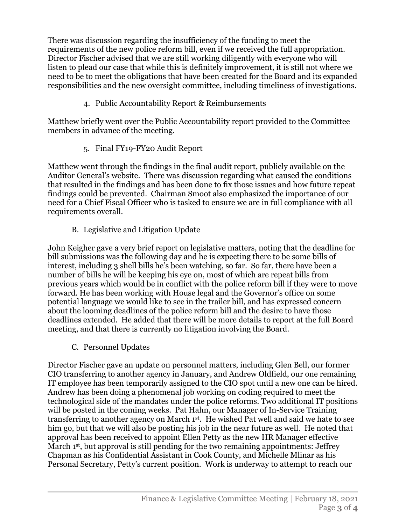There was discussion regarding the insufficiency of the funding to meet the requirements of the new police reform bill, even if we received the full appropriation. Director Fischer advised that we are still working diligently with everyone who will listen to plead our case that while this is definitely improvement, it is still not where we need to be to meet the obligations that have been created for the Board and its expanded responsibilities and the new oversight committee, including timeliness of investigations.

4. Public Accountability Report & Reimbursements

Matthew briefly went over the Public Accountability report provided to the Committee members in advance of the meeting.

5. Final FY19-FY20 Audit Report

Matthew went through the findings in the final audit report, publicly available on the Auditor General's website. There was discussion regarding what caused the conditions that resulted in the findings and has been done to fix those issues and how future repeat findings could be prevented. Chairman Smoot also emphasized the importance of our need for a Chief Fiscal Officer who is tasked to ensure we are in full compliance with all requirements overall.

B. Legislative and Litigation Update

John Keigher gave a very brief report on legislative matters, noting that the deadline for bill submissions was the following day and he is expecting there to be some bills of interest, including 3 shell bills he's been watching, so far. So far, there have been a number of bills he will be keeping his eye on, most of which are repeat bills from previous years which would be in conflict with the police reform bill if they were to move forward. He has been working with House legal and the Governor's office on some potential language we would like to see in the trailer bill, and has expressed concern about the looming deadlines of the police reform bill and the desire to have those deadlines extended. He added that there will be more details to report at the full Board meeting, and that there is currently no litigation involving the Board.

C. Personnel Updates

Director Fischer gave an update on personnel matters, including Glen Bell, our former CIO transferring to another agency in January, and Andrew Oldfield, our one remaining IT employee has been temporarily assigned to the CIO spot until a new one can be hired. Andrew has been doing a phenomenal job working on coding required to meet the technological side of the mandates under the police reforms. Two additional IT positions will be posted in the coming weeks. Pat Hahn, our Manager of In-Service Training transferring to another agency on March 1st. He wished Pat well and said we hate to see him go, but that we will also be posting his job in the near future as well. He noted that approval has been received to appoint Ellen Petty as the new HR Manager effective March 1<sup>st</sup>, but approval is still pending for the two remaining appointments: Jeffrey Chapman as his Confidential Assistant in Cook County, and Michelle Mlinar as his Personal Secretary, Petty's current position. Work is underway to attempt to reach our